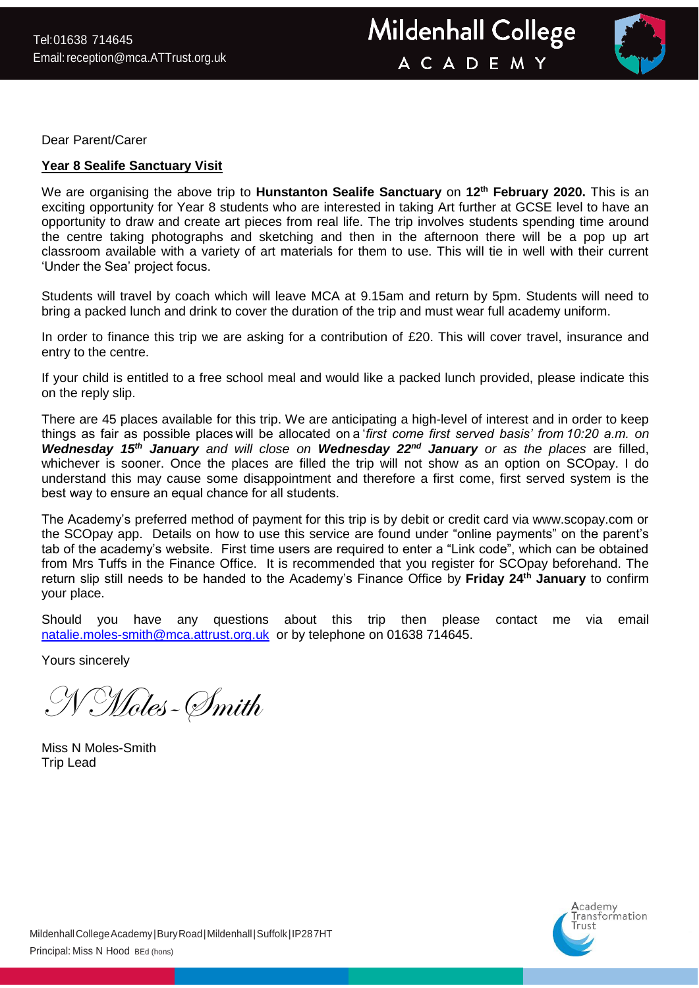

Dear Parent/Carer

## **Year 8 Sealife Sanctuary Visit**

We are organising the above trip to **Hunstanton Sealife Sanctuary** on **12th February 2020.** This is an exciting opportunity for Year 8 students who are interested in taking Art further at GCSE level to have an opportunity to draw and create art pieces from real life. The trip involves students spending time around the centre taking photographs and sketching and then in the afternoon there will be a pop up art classroom available with a variety of art materials for them to use. This will tie in well with their current 'Under the Sea' project focus.

Students will travel by coach which will leave MCA at 9.15am and return by 5pm. Students will need to bring a packed lunch and drink to cover the duration of the trip and must wear full academy uniform.

In order to finance this trip we are asking for a contribution of £20. This will cover travel, insurance and entry to the centre.

If your child is entitled to a free school meal and would like a packed lunch provided, please indicate this on the reply slip.

There are 45 places available for this trip. We are anticipating a high-level of interest and in order to keep things as fair as possible places will be allocated on a '*first come first served basis' from 10:20 a.m. on Wednesday 15th January and will close on Wednesday 22nd January or as the places* are filled, whichever is sooner. Once the places are filled the trip will not show as an option on SCOpay. I do understand this may cause some disappointment and therefore a first come, first served system is the best way to ensure an equal chance for all students. 

The Academy's preferred method of payment for this trip is by debit or credit card via www.scopay.com or the SCOpay app. Details on how to use this service are found under "online payments" on the parent's tab of the academy's website. First time users are required to enter a "Link code", which can be obtained from Mrs Tuffs in the Finance Office. It is recommended that you register for SCOpay beforehand. The return slip still needs to be handed to the Academy's Finance Office by **Friday 24th January** to confirm your place.

Should you have any questions about this trip then please contact me via email [natalie.moles-smith@mca.attrust.org.uk](mailto:natalie.moles-smith@mca.attrust.org.uk) or by telephone on 01638 714645.

Yours sincerely

N Moles-Smith

Miss N Moles-Smith Trip Lead

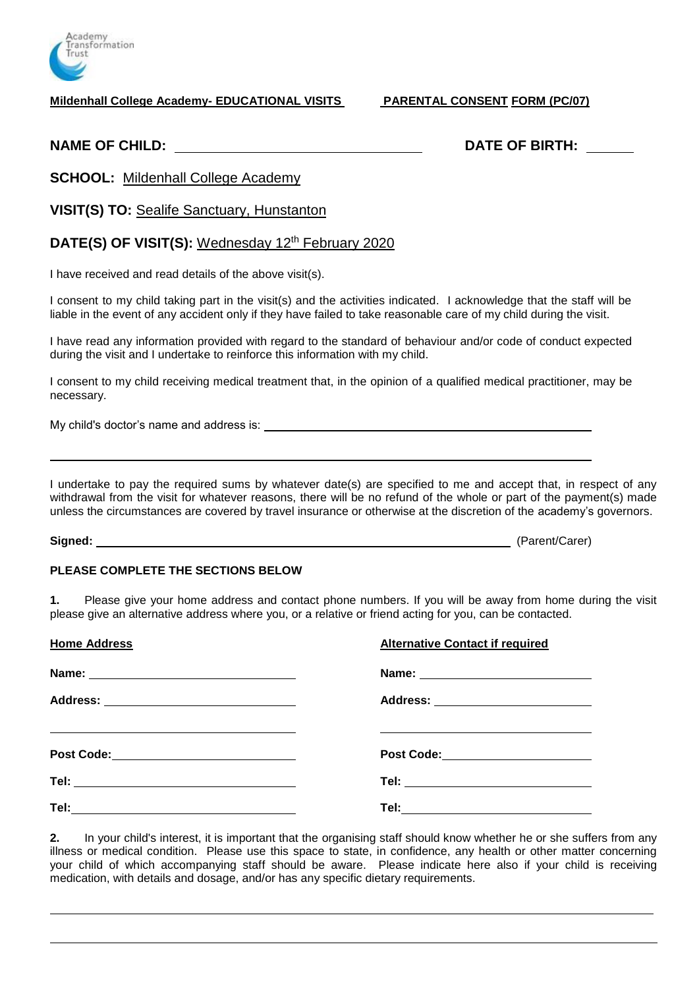

**Mildenhall College Academy- EDUCATIONAL VISITS PARENTAL CONSENT FORM (PC/07)**

**NAME OF CHILD: DATE OF BIRTH:**

**SCHOOL:** Mildenhall College Academy

**VISIT(S) TO:** Sealife Sanctuary, Hunstanton

# **DATE(S) OF VISIT(S):** Wednesday 12<sup>th</sup> February 2020

I have received and read details of the above visit(s).

I consent to my child taking part in the visit(s) and the activities indicated. I acknowledge that the staff will be liable in the event of any accident only if they have failed to take reasonable care of my child during the visit.

I have read any information provided with regard to the standard of behaviour and/or code of conduct expected during the visit and I undertake to reinforce this information with my child.

I consent to my child receiving medical treatment that, in the opinion of a qualified medical practitioner, may be necessary.

My child's doctor's name and address is:

I undertake to pay the required sums by whatever date(s) are specified to me and accept that, in respect of any withdrawal from the visit for whatever reasons, there will be no refund of the whole or part of the payment(s) made unless the circumstances are covered by travel insurance or otherwise at the discretion of the academy's governors.

**Signed:** (Parent/Carer)

### **PLEASE COMPLETE THE SECTIONS BELOW**

**1.** Please give your home address and contact phone numbers. If you will be away from home during the visit please give an alternative address where you, or a relative or friend acting for you, can be contacted.

| <b>Home Address</b>                       | <b>Alternative Contact if required</b>                        |
|-------------------------------------------|---------------------------------------------------------------|
|                                           |                                                               |
|                                           | Address: _________________________                            |
| Post Code:_______________________________ | <u> 1989 - Andrea Station, amerikansk politiker (d. 1989)</u> |
|                                           |                                                               |
|                                           |                                                               |

**2.** In your child's interest, it is important that the organising staff should know whether he or she suffers from any illness or medical condition. Please use this space to state, in confidence, any health or other matter concerning your child of which accompanying staff should be aware. Please indicate here also if your child is receiving medication, with details and dosage, and/or has any specific dietary requirements.